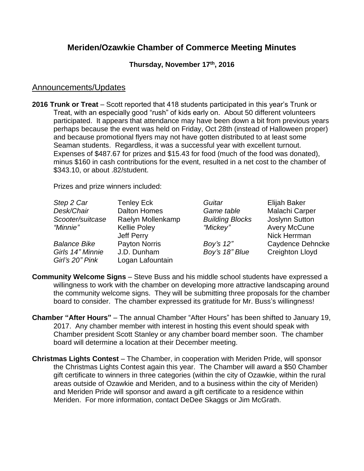# **Meriden/Ozawkie Chamber of Commerce Meeting Minutes**

### **Thursday, November 17th , 2016**

### Announcements/Updates

**2016 Trunk or Treat** – Scott reported that 418 students participated in this year's Trunk or Treat, with an especially good "rush" of kids early on. About 50 different volunteers participated. It appears that attendance may have been down a bit from previous years perhaps because the event was held on Friday, Oct 28th (instead of Halloween proper) and because promotional flyers may not have gotten distributed to at least some Seaman students. Regardless, it was a successful year with excellent turnout. Expenses of \$487.67 for prizes and \$15.43 for food (much of the food was donated), minus \$160 in cash contributions for the event, resulted in a net cost to the chamber of \$343.10, or about .82/student.

Prizes and prize winners included:

| Step 2 Car                          | <b>Tenley Eck</b>               | Guitar                 | Elijah Baker           |
|-------------------------------------|---------------------------------|------------------------|------------------------|
| Desk/Chair                          | <b>Dalton Homes</b>             | Game table             | Malachi Carper         |
| Scooter/suitcase                    | Raelyn Mollenkamp               | <b>Building Blocks</b> | Joslynn Sutton         |
| "Minnie"                            | <b>Kellie Poley</b>             | "Mickey"               | <b>Avery McCune</b>    |
|                                     | Jeff Perry                      |                        | Nick Herrman           |
| <b>Balance Bike</b>                 | Payton Norris                   | Boy's 12"              | Caydence Dehncke       |
| Girls 14" Minnie<br>Girl's 20" Pink | J.D. Dunham<br>Logan Lafountain | Boy's 18" Blue         | <b>Creighton Lloyd</b> |

- **Community Welcome Signs** Steve Buss and his middle school students have expressed a willingness to work with the chamber on developing more attractive landscaping around the community welcome signs. They will be submitting three proposals for the chamber board to consider. The chamber expressed its gratitude for Mr. Buss's willingness!
- **Chamber "After Hours"** The annual Chamber "After Hours" has been shifted to January 19, 2017. Any chamber member with interest in hosting this event should speak with Chamber president Scott Stanley or any chamber board member soon. The chamber board will determine a location at their December meeting.
- **Christmas Lights Contest** The Chamber, in cooperation with Meriden Pride, will sponsor the Christmas Lights Contest again this year. The Chamber will award a \$50 Chamber gift certificate to winners in three categories (within the city of Ozawkie, within the rural areas outside of Ozawkie and Meriden, and to a business within the city of Meriden) and Meriden Pride will sponsor and award a gift certificate to a residence within Meriden. For more information, contact DeDee Skaggs or Jim McGrath.